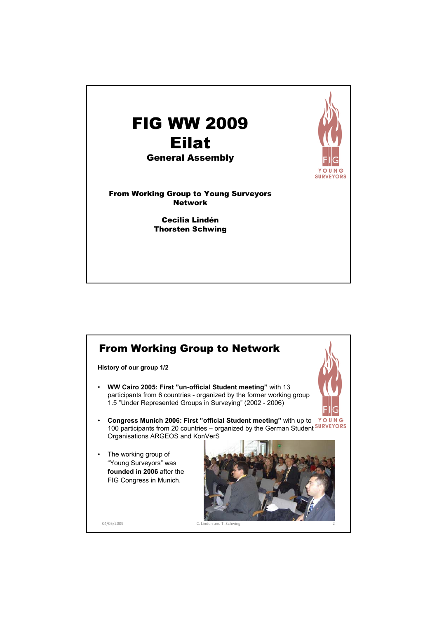

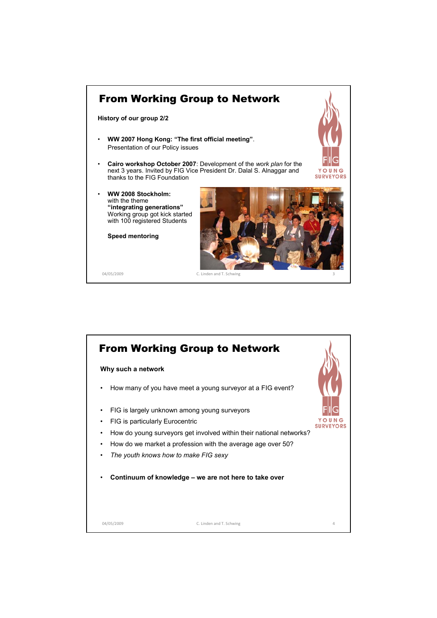